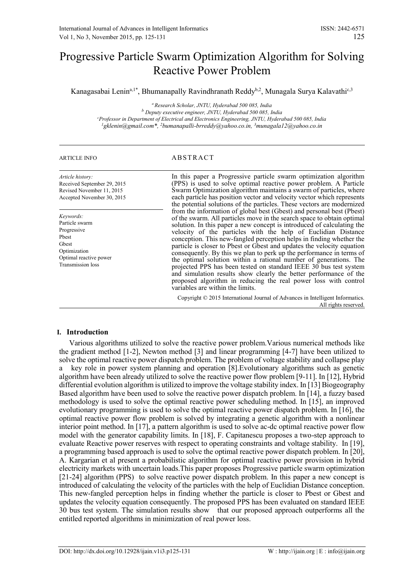# Progressive Particle Swarm Optimization Algorithm for Solving Reactive Power Problem

Kanagasabai Lenin<sup>a,1\*</sup>, Bhumanapally Ravindhranath Reddy<sup>b,2</sup>, Munagala Surya Kalavathi<sup>c,3</sup>

*<sup>a</sup> Research Scholar, JNTU, Hyderabad 500 085, India <sup>b</sup> Deputy executive engineer, JNTU, Hyderabad 500 085, India <sup>c</sup>Professor in Department of Electrical and Electronics Engineering, JNTU, Hyderabad 500 085, India <sup>1</sup>gklenin@gmail.com\*, <sup>2</sup>bumanapalli-brreddy@yahoo.co.in, <sup>3</sup>munagala12@yahoo.co.in*

# ARTICLE INFO ABSTRACT

*Article history:* Received September 29, 2015 Revised November 11, 2015 Accepted November 30, 2015

*Keywords:* Particle swarm Progressive Pbest Gbest Optimization Optimal reactive power Transmission loss

In this paper a Progressive particle swarm optimization algorithm (PPS) is used to solve optimal reactive power problem. A Particle Swarm Optimization algorithm maintains a swarm of particles, where each particle has position vector and velocity vector which represents the potential solutions of the particles. These vectors are modernized from the information of global best (Gbest) and personal best (Pbest) of the swarm. All particles move in the search space to obtain optimal solution. In this paper a new concept is introduced of calculating the velocity of the particles with the help of Euclidian Distance conception. This new-fangled perception helps in finding whether the particle is closer to Pbest or Gbest and updates the velocity equation consequently. By this we plan to perk up the performance in terms of the optimal solution within a rational number of generations. The projected PPS has been tested on standard IEEE 30 bus test system and simulation results show clearly the better performance of the proposed algorithm in reducing the real power loss with control variables are within the limits.

Copyright © 2015 International Journal of Advances in Intelligent Informatics. All rights reserved.

# **I. Introduction**

Various algorithms utilized to solve the reactive power problem.Various numerical methods like the gradient method [1-2], Newton method [3] and linear programming [4-7] have been utilized to solve the optimal reactive power dispatch problem. The problem of voltage stability and collapse play a key role in power system planning and operation [8].Evolutionary algorithms such as genetic algorithm have been already utilized to solve the reactive power flow problem [9-11]. In [12], Hybrid differential evolution algorithm is utilized to improve the voltage stability index. In [13] Biogeography Based algorithm have been used to solve the reactive power dispatch problem. In [14], a fuzzy based methodology is used to solve the optimal reactive power scheduling method. In [15], an improved evolutionary programming is used to solve the optimal reactive power dispatch problem. In [16], the optimal reactive power flow problem is solved by integrating a genetic algorithm with a nonlinear interior point method. In [17], a pattern algorithm is used to solve ac-dc optimal reactive power flow model with the generator capability limits. In [18], F. Capitanescu proposes a two-step approach to evaluate Reactive power reserves with respect to operating constraints and voltage stability. In [19], a programming based approach is used to solve the optimal reactive power dispatch problem. In [20], A. Kargarian et al present a probabilistic algorithm for optimal reactive power provision in hybrid electricity markets with uncertain loads.This paper proposes Progressive particle swarm optimization [21-24] algorithm (PPS) to solve reactive power dispatch problem. In this paper a new concept is introduced of calculating the velocity of the particles with the help of Euclidian Distance conception. This new-fangled perception helps in finding whether the particle is closer to Pbest or Gbest and updates the velocity equation consequently. The proposed PPS has been evaluated on standard IEEE 30 bus test system. The simulation results show that our proposed approach outperforms all the entitled reported algorithms in minimization of real power loss.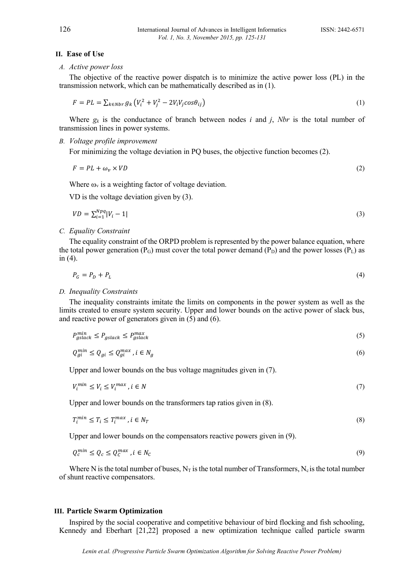#### **II. Ease of Use**

# *A. Active power loss*

The objective of the reactive power dispatch is to minimize the active power loss (PL) in the transmission network, which can be mathematically described as in (1).

$$
F = PL = \sum_{k \in Nbr} g_k \left( V_i^2 + V_j^2 - 2V_i V_j \cos \theta_{ij} \right) \tag{1}
$$

Where  $g_k$  is the conductance of branch between nodes *i* and *j*, *Nbr* is the total number of transmission lines in power systems.

# *B. Voltage profile improvement*

For minimizing the voltage deviation in PQ buses, the objective function becomes (2).

$$
F = PL + \omega_v \times VD \tag{2}
$$

Where  $\omega_{v}$  is a weighting factor of voltage deviation.

VD is the voltage deviation given by (3).

$$
VD = \sum_{i=1}^{Npq} |V_i - 1| \tag{3}
$$

### *C. Equality Constraint*

The equality constraint of the ORPD problem is represented by the power balance equation, where the total power generation ( $P_G$ ) must cover the total power demand ( $P_D$ ) and the power losses ( $P_L$ ) as in (4).

$$
P_G = P_D + P_L \tag{4}
$$

#### *D. Inequality Constraints*

The inequality constraints imitate the limits on components in the power system as well as the limits created to ensure system security. Upper and lower bounds on the active power of slack bus, and reactive power of generators given in (5) and (6).

$$
P_{gslack}^{min} \le P_{gslack} \le P_{gslack}^{max}
$$
\n(5)

$$
Q_{gi}^{min} \le Q_{gi} \le Q_{gi}^{max}, i \in N_g \tag{6}
$$

Upper and lower bounds on the bus voltage magnitudes given in (7).

$$
V_i^{min} \le V_i \le V_i^{max}, i \in N
$$
\n<sup>(7)</sup>

Upper and lower bounds on the transformers tap ratios given in (8).

$$
T_i^{min} \le T_i \le T_i^{max}, i \in N_T
$$
\n<sup>(8)</sup>

Upper and lower bounds on the compensators reactive powers given in (9).

$$
Q_c^{min} \le Q_c \le Q_c^{max}, i \in N_c \tag{9}
$$

Where N is the total number of buses,  $N_T$  is the total number of Transformers,  $N_c$  is the total number of shunt reactive compensators.

# **III. Particle Swarm Optimization**

Inspired by the social cooperative and competitive behaviour of bird flocking and fish schooling, Kennedy and Eberhart [21,22] proposed a new optimization technique called particle swarm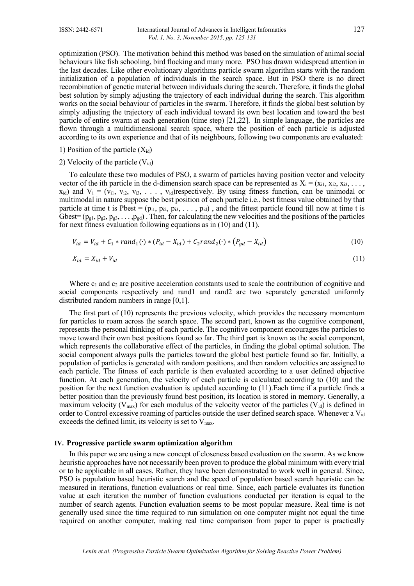optimization (PSO). The motivation behind this method was based on the simulation of animal social behaviours like fish schooling, bird flocking and many more. PSO has drawn widespread attention in the last decades. Like other evolutionary algorithms particle swarm algorithm starts with the random initialization of a population of individuals in the search space. But in PSO there is no direct recombination of genetic material between individuals during the search. Therefore, it finds the global best solution by simply adjusting the trajectory of each individual during the search. This algorithm works on the social behaviour of particles in the swarm. Therefore, it finds the global best solution by simply adjusting the trajectory of each individual toward its own best location and toward the best particle of entire swarm at each generation (time step) [21,22]. In simple language, the particles are flown through a multidimensional search space, where the position of each particle is adjusted according to its own experience and that of its neighbours, following two components are evaluated:

- 1) Position of the particle  $(X_{id})$
- 2) Velocity of the particle  $(V_{id})$

To calculate these two modules of PSO, a swarm of particles having position vector and velocity vector of the ith particle in the d-dimension search space can be represented as  $X_i = (x_{i1}, x_{i2}, x_{i3}, \ldots, x_{i4})$  $x_{id}$ ) and  $V_i = (v_{i1}, v_{i2}, v_{i3}, \ldots, v_{id})$ respectively. By using fitness function, can be unimodal or multimodal in nature suppose the best position of each particle i.e., best fitness value obtained by that particle at time t is Pbest =  $(p_{i1}, p_{i2}, p_{i3}, \ldots, p_{id})$ , and the fittest particle found till now at time t is Gbest=  $(p_{g1}, p_{g2}, p_{g3}, \ldots, p_{gd})$ . Then, for calculating the new velocities and the positions of the particles for next fitness evaluation following equations as in (10) and (11).

$$
V_{id} = V_{id} + C_1 * rand_1(\cdot) * (P_{id} - X_{id}) + C_2 rand_2(\cdot) * (P_{gd} - X_{id})
$$
\n(10)

$$
X_{id} = X_{id} + V_{id} \tag{11}
$$

Where  $c_1$  and  $c_2$  are positive acceleration constants used to scale the contribution of cognitive and social components respectively and rand1 and rand2 are two separately generated uniformly distributed random numbers in range [0,1].

The first part of (10) represents the previous velocity, which provides the necessary momentum for particles to roam across the search space. The second part, known as the cognitive component, represents the personal thinking of each particle. The cognitive component encourages the particles to move toward their own best positions found so far. The third part is known as the social component, which represents the collaborative effect of the particles, in finding the global optimal solution. The social component always pulls the particles toward the global best particle found so far. Initially, a population of particles is generated with random positions, and then random velocities are assigned to each particle. The fitness of each particle is then evaluated according to a user defined objective function. At each generation, the velocity of each particle is calculated according to (10) and the position for the next function evaluation is updated according to (11).Each time if a particle finds a better position than the previously found best position, its location is stored in memory. Generally, a maximum velocity ( $V_{\text{max}}$ ) for each modulus of the velocity vector of the particles ( $V_{\text{id}}$ ) is defined in order to Control excessive roaming of particles outside the user defined search space. Whenever a  $V_{id}$ exceeds the defined limit, its velocity is set to  $V_{\text{max}}$ .

#### **IV. Progressive particle swarm optimization algorithm**

In this paper we are using a new concept of closeness based evaluation on the swarm. As we know heuristic approaches have not necessarily been proven to produce the global minimum with every trial or to be applicable in all cases. Rather, they have been demonstrated to work well in general. Since, PSO is population based heuristic search and the speed of population based search heuristic can be measured in iterations, function evaluations or real time. Since, each particle evaluates its function value at each iteration the number of function evaluations conducted per iteration is equal to the number of search agents. Function evaluation seems to be most popular measure. Real time is not generally used since the time required to run simulation on one computer might not equal the time required on another computer, making real time comparison from paper to paper is practically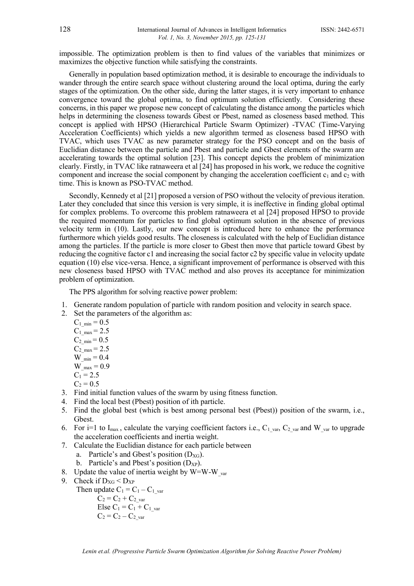impossible. The optimization problem is then to find values of the variables that minimizes or maximizes the objective function while satisfying the constraints.

Generally in population based optimization method, it is desirable to encourage the individuals to wander through the entire search space without clustering around the local optima, during the early stages of the optimization. On the other side, during the latter stages, it is very important to enhance convergence toward the global optima, to find optimum solution efficiently. Considering these concerns, in this paper we propose new concept of calculating the distance among the particles which helps in determining the closeness towards Gbest or Pbest, named as closeness based method. This concept is applied with HPSO (Hierarchical Particle Swarm Optimizer) -TVAC (Time-Varying Acceleration Coefficients) which yields a new algorithm termed as closeness based HPSO with TVAC, which uses TVAC as new parameter strategy for the PSO concept and on the basis of Euclidian distance between the particle and Pbest and particle and Gbest elements of the swarm are accelerating towards the optimal solution [23]. This concept depicts the problem of minimization clearly. Firstly, in TVAC like ratnaweera et al [24] has proposed in his work, we reduce the cognitive component and increase the social component by changing the acceleration coefficient  $c_1$  and  $c_2$  with time. This is known as PSO-TVAC method.

Secondly, Kennedy et al [21] proposed a version of PSO without the velocity of previous iteration. Later they concluded that since this version is very simple, it is ineffective in finding global optimal for complex problems. To overcome this problem ratnaweera et al [24] proposed HPSO to provide the required momentum for particles to find global optimum solution in the absence of previous velocity term in (10). Lastly, our new concept is introduced here to enhance the performance furthermore which yields good results. The closeness is calculated with the help of Euclidian distance among the particles. If the particle is more closer to Gbest then move that particle toward Gbest by reducing the cognitive factor c1 and increasing the social factor c2 by specific value in velocity update equation (10) else vice-versa. Hence, a significant improvement of performance is observed with this new closeness based HPSO with TVAC method and also proves its acceptance for minimization problem of optimization.

The PPS algorithm for solving reactive power problem:

- 1. Generate random population of particle with random position and velocity in search space.
- 2. Set the parameters of the algorithm as:

 $C_1_{min} = 0.5$ 

 $C_1_{max} = 2.5$ 

 $C_{2,min} = 0.5$ 

 $C_{2 \text{ max}} = 2.5$ 

W  $_{\text{min}} = 0.4$ 

- $W_{max} = 0.9$
- $C_1 = 2.5$
- $C_2 = 0.5$
- 3. Find initial function values of the swarm by using fitness function.
- 4. Find the local best (Pbest) position of ith particle.
- 5. Find the global best (which is best among personal best (Pbest)) position of the swarm, i.e., Gbest.
- 6. For i=1 to I<sub>max</sub>, calculate the varying coefficient factors i.e.,  $C_1$ <sub>var</sub>,  $C_2$ <sub>var</sub> and W<sub>\_var</sub> to upgrade the acceleration coefficients and inertia weight.
- 7. Calculate the Euclidian distance for each particle between
	- a. Particle's and Gbest's position  $(D_{XG})$ .
	- b. Particle's and Pbest's position  $(D_{XP})$ .
- 8. Update the value of inertia weight by W=W-W  $_{\text{var}}$
- 9. Check if  $D_{XG} < D_{XP}$

Then update  $C_1 = C_1 - C_1$  var

 $C_2 = C_2 + C_{2-var}$ Else  $C_1 = C_1 + C_{1-var}$  $C_2 = C_2 - C_2$  var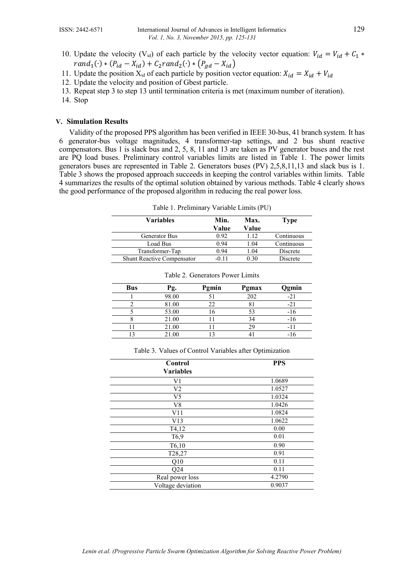- 10. Update the velocity (V<sub>id</sub>) of each particle by the velocity vector equation:  $V_{id} = V_{id} + C_1 *$  $rand_1(\cdot) * (P_{id} - X_{id}) + C_2 rand_2(\cdot) * (P_{gd} - X_{id})$
- 11. Update the position  $X_{id}$  of each particle by position vector equation:  $X_{id} = X_{id} + V_{id}$
- 12. Update the velocity and position of Gbest particle.
- 13. Repeat step 3 to step 13 until termination criteria is met (maximum number of iteration).
- 14. Stop

## **V. Simulation Results**

Validity of the proposed PPS algorithm has been verified in IEEE 30-bus, 41 branch system. It has 6 generator-bus voltage magnitudes, 4 transformer-tap settings, and 2 bus shunt reactive compensators. Bus 1 is slack bus and 2, 5, 8, 11 and 13 are taken as PV generator buses and the rest are PQ load buses. Preliminary control variables limits are listed in Table 1. The power limits generators buses are represented in Table 2. Generators buses (PV) 2,5,8,11,13 and slack bus is 1. Table 3 shows the proposed approach succeeds in keeping the control variables within limits. Table 4 summarizes the results of the optimal solution obtained by various methods. Table 4 clearly shows the good performance of the proposed algorithm in reducing the real power loss.

| Variables                         | Min.  | Max.  | Type       |
|-----------------------------------|-------|-------|------------|
|                                   | Value | Value |            |
| Generator Bus                     | 0.92  | 112   | Continuous |
| Load Bus                          | 0.94  | 1.04  | Continuous |
| Transformer-Tap                   | 0.94  | 1.04  | Discrete   |
| <b>Shunt Reactive Compensator</b> | -0 11 | 0.30  | Discrete   |

Table 1. Preliminary Variable Limits (PU)

| <b>Bus</b> | Ρg.   | Pgmin | Pgmax | Qgmin |
|------------|-------|-------|-------|-------|
|            | 98.00 |       | 202   |       |
|            | 81.00 |       |       |       |
|            | 53.00 |       |       | -16   |
|            | 21.00 |       | 34    | -16   |
|            | 21.00 |       |       | - 1   |
|            | 21.00 |       |       |       |

| Table 2. Generators Power Limits |  |
|----------------------------------|--|
|----------------------------------|--|

| Control<br><b>Variables</b> | <b>PPS</b> |
|-----------------------------|------------|
| V1                          | 1.0689     |
| V <sub>2</sub>              | 1.0527     |
| V <sub>5</sub>              | 1.0324     |
| V8                          | 1.0426     |
| V11                         | 1.0824     |
| V13                         | 1.0622     |
| T4,12                       | 0.00       |
| T <sub>6</sub> ,9           | 0.01       |
| T6,10                       | 0.90       |
| T <sub>28</sub> , 27        | 0.91       |
| Q10                         | 0.11       |
| Q24                         | 0.11       |
| Real power loss             | 4.2790     |
| Voltage deviation           | 0.9037     |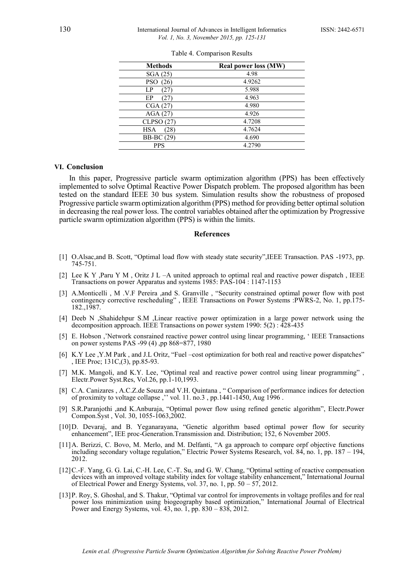| <b>Methods</b>     | <b>Real power loss (MW)</b> |
|--------------------|-----------------------------|
| SGA(25)            | 4.98                        |
| <b>PSO</b><br>(26) | 4.9262                      |
| LP<br>(27)         | 5.988                       |
| ЕP<br>(27)         | 4.963                       |
| CGA(27)            | 4.980                       |
| AGA(27)            | 4.926                       |
| CLPSO (27)         | 4.7208                      |
| HSA<br>(28)        | 4.7624                      |
| <b>BB-BC</b> (29)  | 4.690                       |
| <b>PPS</b>         | 4.2790                      |

|  | Table 4. Comparison Results |  |
|--|-----------------------------|--|
|--|-----------------------------|--|

#### **VI. Conclusion**

In this paper, Progressive particle swarm optimization algorithm (PPS) has been effectively implemented to solve Optimal Reactive Power Dispatch problem. The proposed algorithm has been tested on the standard IEEE 30 bus system. Simulation results show the robustness of proposed Progressive particle swarm optimization algorithm (PPS) method for providing better optimal solution in decreasing the real power loss. The control variables obtained after the optimization by Progressive particle swarm optimization algorithm (PPS) is within the limits.

### **References**

- [1] O.Alsac,and B. Scott, "Optimal load flow with steady state security",IEEE Transaction. PAS -1973, pp. 745-751.
- [2] Lee K Y ,Paru Y M , Oritz J L –A united approach to optimal real and reactive power dispatch , IEEE Transactions on power Apparatus and systems 1985: PAS-104 : 1147-1153
- [3] A.Monticelli , M .V.F Pereira ,and S. Granville , "Security constrained optimal power flow with post contingency corrective rescheduling" , IEEE Transactions on Power Systems :PWRS-2, No. 1, pp.175- 182.,1987.
- [4] Deeb N ,Shahidehpur S.M ,Linear reactive power optimization in a large power network using the decomposition approach. IEEE Transactions on power system 1990: 5(2) : 428-435
- [5] E. Hobson ,'Network consrained reactive power control using linear programming, ' IEEE Transactions on power systems PAS -99 (4) ,pp 868=877, 1980
- [6] K.Y Lee ,Y.M Park , and J.L Oritz, "Fuel –cost optimization for both real and reactive power dispatches" , IEE Proc; 131C,(3), pp.85-93.
- [7] M.K. Mangoli, and K.Y. Lee, "Optimal real and reactive power control using linear programming" , Electr.Power Syst.Res, Vol.26, pp.1-10,1993.
- [8] C.A. Canizares , A.C.Z.de Souza and V.H. Quintana , " Comparison of performance indices for detection of proximity to voltage collapse," vol. 11. no.3, pp. 1441-1450, Aug 1996.
- [9] S.R.Paranjothi ,and K.Anburaja, "Optimal power flow using refined genetic algorithm", Electr.Power Compon.Syst , Vol. 30, 1055-1063,2002.
- [10]D. Devaraj, and B. Yeganarayana, "Genetic algorithm based optimal power flow for security enhancement", IEE proc-Generation.Transmission and. Distribution; 152, 6 November 2005.
- [11]A. Berizzi, C. Bovo, M. Merlo, and M. Delfanti, "A ga approach to compare orpf objective functions including secondary voltage regulation," Electric Power Systems Research, vol. 84, no. 1, pp. 187 – 194, 2012.
- [12]C.-F. Yang, G. G. Lai, C.-H. Lee, C.-T. Su, and G. W. Chang, "Optimal setting of reactive compensation devices with an improved voltage stability index for voltage stability enhancement," International Journal of Electrical Power and Energy Systems, vol. 37, no. 1, pp. 50 – 57, 2012.
- [13]P. Roy, S. Ghoshal, and S. Thakur, "Optimal var control for improvements in voltage profiles and for real power loss minimization using biogeography based optimization," International Journal of Electrical Power and Energy Systems, vol. 43, no. 1, pp. 830 – 838, 2012.